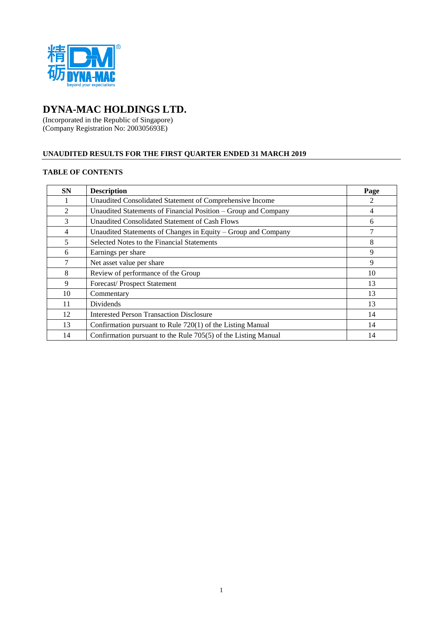

# **DYNA-MAC HOLDINGS LTD.**

(Incorporated in the Republic of Singapore) (Company Registration No: 200305693E)

## **UNAUDITED RESULTS FOR THE FIRST QUARTER ENDED 31 MARCH 2019**

## **TABLE OF CONTENTS**

| <b>SN</b>      | <b>Description</b>                                             | Page |
|----------------|----------------------------------------------------------------|------|
|                | Unaudited Consolidated Statement of Comprehensive Income       | 2    |
| $\mathfrak{D}$ | Unaudited Statements of Financial Position – Group and Company | 4    |
| 3              | Unaudited Consolidated Statement of Cash Flows                 | 6    |
| 4              | Unaudited Statements of Changes in Equity – Group and Company  |      |
| 5              | Selected Notes to the Financial Statements                     | 8    |
| 6              | Earnings per share                                             | 9    |
| 7              | Net asset value per share                                      | 9    |
| 8              | Review of performance of the Group                             | 10   |
| 9              | Forecast/Prospect Statement                                    | 13   |
| 10             | Commentary                                                     | 13   |
| 11             | <b>Dividends</b>                                               | 13   |
| 12             | <b>Interested Person Transaction Disclosure</b>                | 14   |
| 13             | Confirmation pursuant to Rule 720(1) of the Listing Manual     | 14   |
| 14             | Confirmation pursuant to the Rule 705(5) of the Listing Manual | 14   |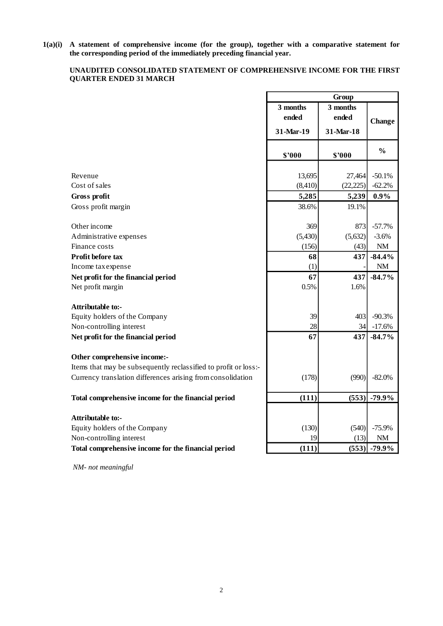**1(a)(i) A statement of comprehensive income (for the group), together with a comparative statement for the corresponding period of the immediately preceding financial year.**

## **UNAUDITED CONSOLIDATED STATEMENT OF COMPREHENSIVE INCOME FOR THE FIRST QUARTER ENDED 31 MARCH**

|                                                                 | Group             |                   |               |  |
|-----------------------------------------------------------------|-------------------|-------------------|---------------|--|
|                                                                 | 3 months<br>ended | 3 months<br>ended | Change        |  |
|                                                                 | 31-Mar-19         | 31-Mar-18         |               |  |
|                                                                 | \$2000            | \$'000            | $\frac{0}{0}$ |  |
|                                                                 |                   |                   |               |  |
| Revenue                                                         | 13,695            | 27,464            | $-50.1%$      |  |
| Cost of sales                                                   | (8, 410)          | (22, 225)         | $-62.2%$      |  |
| Gross profit                                                    | 5,285             | 5,239             | 0.9%          |  |
| Gross profit margin                                             | 38.6%             | 19.1%             |               |  |
| Other income                                                    | 369               | 873               | $-57.7%$      |  |
| Administrative expenses                                         | (5,430)           | (5,632)           | $-3.6%$       |  |
| Finance costs                                                   | (156)             | (43)              | $\rm{NM}$     |  |
| Profit before tax                                               | 68                | 437               | $-84.4\%$     |  |
| Income tax expense                                              | (1)               |                   | NM            |  |
| Net profit for the financial period                             | 67                | 437               | $-84.7%$      |  |
| Net profit margin                                               | 0.5%              | 1.6%              |               |  |
| Attributable to:-                                               |                   |                   |               |  |
| Equity holders of the Company                                   | 39                | 403               | $-90.3%$      |  |
| Non-controlling interest                                        | 28                | 34                | $-17.6%$      |  |
| Net profit for the financial period                             | 67                | 437               | $-84.7%$      |  |
| Other comprehensive income:-                                    |                   |                   |               |  |
| Items that may be subsequently reclassified to profit or loss:- |                   |                   |               |  |
| Currency translation differences arising from consolidation     | (178)             | (990)             | $-82.0\%$     |  |
| Total comprehensive income for the financial period             | (111)             | (553)             | $-79.9%$      |  |
|                                                                 |                   |                   |               |  |
| Attributable to:-                                               |                   |                   |               |  |
| Equity holders of the Company                                   | (130)             | (540)             | $-75.9%$      |  |
| Non-controlling interest                                        | 19                | (13)              | NM            |  |
| Total comprehensive income for the financial period             | (111)             | (553)             | $-79.9\%$     |  |
| NM- not meaningful                                              |                   |                   |               |  |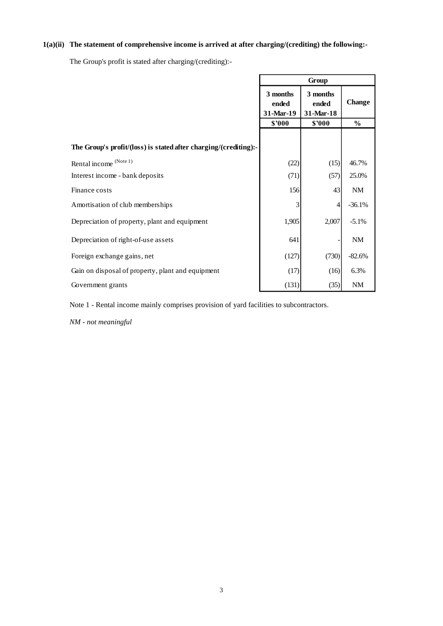## **1(a)(ii) The statement of comprehensive income is arrived at after charging/(crediting) the following:-**

The Group's profit is stated after charging/(crediting):-

|                                                                  | Group                          |                                   |               |  |
|------------------------------------------------------------------|--------------------------------|-----------------------------------|---------------|--|
|                                                                  | 3 months<br>ended<br>31-Mar-19 | 3 months<br>ended<br>$31$ -Mar-18 | <b>Change</b> |  |
|                                                                  | \$'000                         | \$'000                            | $\%$          |  |
| The Group's profit/(loss) is stated after charging/(crediting):- |                                |                                   |               |  |
| Rental income (Note 1)                                           | (22)                           | (15)                              | 46.7%         |  |
| Interest income - bank deposits                                  | (71)                           | (57)                              | 25.0%         |  |
| Finance costs                                                    | 156                            | 43                                | NM            |  |
| Amortisation of club memberships                                 | 3                              |                                   | $-36.1%$      |  |
| Depreciation of property, plant and equipment                    | 1,905                          | 2,007                             | $-5.1\%$      |  |
| Depreciation of right-of-use assets                              | 641                            |                                   | NM            |  |
| Foreign exchange gains, net                                      | (127)                          | (730)                             | $-82.6%$      |  |
| Gain on disposal of property, plant and equipment                | (17)                           | (16)                              | 6.3%          |  |
| Government grants                                                | (131)                          | (35)                              | NM            |  |

Note 1 - Rental income mainly comprises provision of yard facilities to subcontractors.

*NM - not meaningful*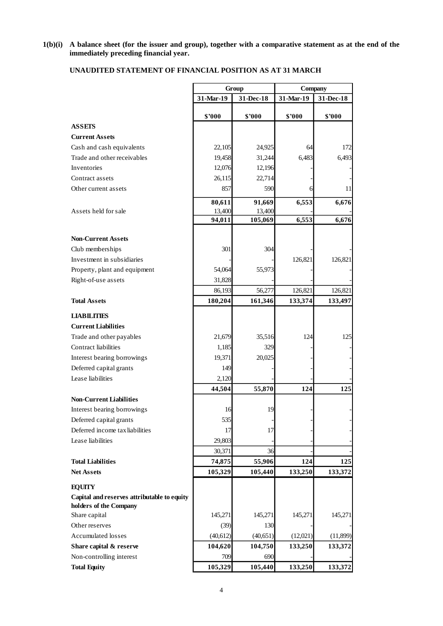#### **1(b)(i) A balance sheet (for the issuer and group), together with a comparative statement as at the end of the immediately preceding financial year.**

## **UNAUDITED STATEMENT OF FINANCIAL POSITION AS AT 31 MARCH**

|                                                              | Group     |           | Company   |           |
|--------------------------------------------------------------|-----------|-----------|-----------|-----------|
|                                                              | 31-Mar-19 | 31-Dec-18 | 31-Mar-19 | 31-Dec-18 |
|                                                              | \$'000    | \$'000    | \$'000    | \$'000    |
| <b>ASSETS</b>                                                |           |           |           |           |
| <b>Current Assets</b>                                        |           |           |           |           |
| Cash and cash equivalents                                    | 22,105    | 24,925    | 64        | 172       |
| Trade and other receivables                                  | 19,458    | 31,244    | 6,483     | 6,493     |
| Inventories                                                  | 12,076    | 12,196    |           |           |
| Contract assets                                              | 26,115    | 22,714    |           |           |
| Other current assets                                         | 857       | 590       | 6         | 11        |
|                                                              | 80,611    | 91,669    | 6,553     | 6,676     |
| Assets held for sale                                         | 13,400    | 13,400    |           |           |
|                                                              | 94,011    | 105,069   | 6,553     | 6,676     |
| <b>Non-Current Assets</b>                                    |           |           |           |           |
| Club memberships                                             | 301       | 304       |           |           |
| Investment in subsidiaries                                   |           |           | 126,821   | 126,821   |
| Property, plant and equipment                                | 54,064    | 55,973    |           |           |
| Right-of-use assets                                          | 31,828    |           |           |           |
|                                                              | 86,193    | 56,277    | 126,821   | 126,821   |
| <b>Total Assets</b>                                          | 180,204   | 161,346   | 133,374   | 133,497   |
|                                                              |           |           |           |           |
| <b>LIABILITIES</b><br><b>Current Liabilities</b>             |           |           |           |           |
|                                                              | 21,679    | 35,516    | 124       | 125       |
| Trade and other payables<br><b>Contract liabilities</b>      | 1,185     | 329       |           |           |
| Interest bearing borrowings                                  | 19,371    | 20,025    |           |           |
| Deferred capital grants                                      | 149       |           |           |           |
| Lease liabilities                                            | 2,120     |           |           |           |
|                                                              | 44,504    | 55,870    | 124       | 125       |
| <b>Non-Current Liabilities</b>                               |           |           |           |           |
| Interest bearing borrowings                                  | 16        | 19        |           |           |
| Deferred capital grants                                      | 535       |           |           |           |
| Deferred income tax liabilities                              | 17        | 17        |           |           |
| Lease liabilities                                            | 29,803    |           |           |           |
|                                                              | 30,371    | 36        |           |           |
| <b>Total Liabilities</b>                                     | 74,875    | 55,906    | 124       | 125       |
| <b>Net Assets</b>                                            | 105,329   | 105,440   | 133,250   | 133,372   |
|                                                              |           |           |           |           |
| <b>EQUITY</b><br>Capital and reserves attributable to equity |           |           |           |           |
| holders of the Company                                       |           |           |           |           |
| Share capital                                                | 145,271   | 145,271   | 145,271   | 145,271   |
| Other reserves                                               | (39)      | 130       |           |           |
| Accumulated losses                                           | (40, 612) | (40, 651) | (12,021)  | (11, 899) |
| Share capital & reserve                                      | 104,620   | 104,750   | 133,250   | 133,372   |
| Non-controlling interest                                     | 709       | 690       |           |           |
| <b>Total Equity</b>                                          | 105,329   | 105,440   | 133,250   | 133,372   |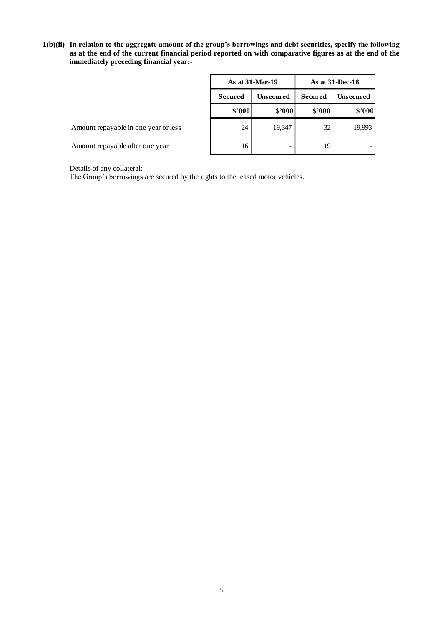**1(b)(ii) In relation to the aggregate amount of the group's borrowings and debt securities, specify the following as at the end of the current financial period reported on with comparative figures as at the end of the immediately preceding financial year:-**

|                                      | As at 31-Mar-19 |                  | As at $31$ -Dec-18 |                  |  |
|--------------------------------------|-----------------|------------------|--------------------|------------------|--|
|                                      | <b>Secured</b>  | <b>Unsecured</b> | <b>Secured</b>     | <b>Unsecured</b> |  |
|                                      | \$'000          | \$2000           | \$'000             | \$'000           |  |
| Amount repayable in one year or less | 24              | 19,347           | 32                 | 19,993           |  |
| Amount repayable after one year      | 16              | -                | 19                 |                  |  |

Details of any collateral: -

The Group's borrowings are secured by the rights to the leased motor vehicles.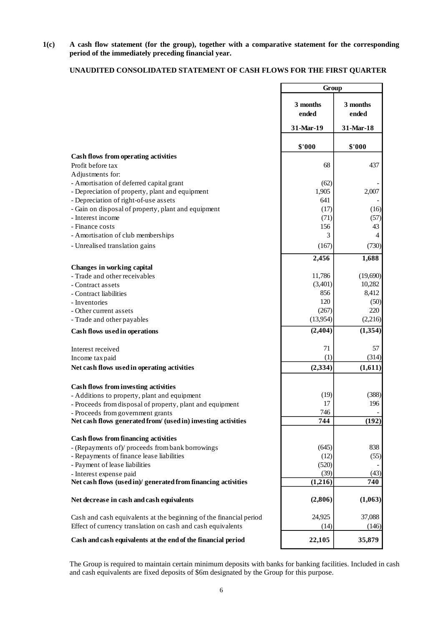**1(c) A cash flow statement (for the group), together with a comparative statement for the corresponding period of the immediately preceding financial year.**

## **UNAUDITED CONSOLIDATED STATEMENT OF CASH FLOWS FOR THE FIRST QUARTER**

|                                                                                                                                                                                                        | Group             |                   |
|--------------------------------------------------------------------------------------------------------------------------------------------------------------------------------------------------------|-------------------|-------------------|
|                                                                                                                                                                                                        | 3 months<br>ended | 3 months<br>ended |
|                                                                                                                                                                                                        | 31-Mar-19         | 31-Mar-18         |
|                                                                                                                                                                                                        | \$'000            | \$'000            |
| Cash flows from operating activities<br>Profit before tax                                                                                                                                              | 68                | 437               |
| Adjustments for:                                                                                                                                                                                       |                   |                   |
| - Amortisation of deferred capital grant                                                                                                                                                               | (62)              |                   |
| - Depreciation of property, plant and equipment                                                                                                                                                        | 1,905             | 2,007             |
| - Depreciation of right-of-use assets                                                                                                                                                                  | 641               |                   |
| - Gain on disposal of property, plant and equipment                                                                                                                                                    | (17)              | (16)              |
| - Interest income                                                                                                                                                                                      | (71)              | (57)              |
| - Finance costs                                                                                                                                                                                        | 156               | 43                |
| - Amortisation of club memberships                                                                                                                                                                     | 3                 | $\overline{4}$    |
| - Unrealised translation gains                                                                                                                                                                         | (167)             | (730)             |
|                                                                                                                                                                                                        | 2,456             | 1,688             |
| Changes in working capital<br>- Trade and other receivables                                                                                                                                            | 11,786            | (19,690)          |
| - Contract assets                                                                                                                                                                                      | (3,401)           | 10,282            |
| - Contract liabilities                                                                                                                                                                                 | 856               | 8,412             |
| - Inventories                                                                                                                                                                                          | 120               | (50)              |
| - Other current assets                                                                                                                                                                                 | (267)             | 220               |
| - Trade and other payables                                                                                                                                                                             | (13,954)          | (2,216)           |
| Cash flows used in operations                                                                                                                                                                          | (2, 404)          | (1, 354)          |
| Interest received                                                                                                                                                                                      | 71                | 57                |
| Income tax paid                                                                                                                                                                                        | (1)               | (314)             |
| Net cash flows used in operating activities                                                                                                                                                            | (2, 334)          | (1,611)           |
|                                                                                                                                                                                                        |                   |                   |
| Cash flows from investing activities                                                                                                                                                                   |                   |                   |
| - Additions to property, plant and equipment                                                                                                                                                           | (19)<br>17        | (388)<br>196      |
| - Proceeds from disposal of property, plant and equipment<br>- Proceeds from government grants                                                                                                         | 746               |                   |
| Net cash flows generated from/ (used in) investing activities                                                                                                                                          | 744               | (192)             |
|                                                                                                                                                                                                        |                   |                   |
| <b>Cash flows from financing activities</b>                                                                                                                                                            |                   | 838               |
| - (Repayments of)/ proceeds from bank borrowings<br>- Repayments of finance lease liabilities                                                                                                          | (645)<br>(12)     | (55)              |
| - Payment of lease liabilities                                                                                                                                                                         | (520)             |                   |
| - Interest expense paid                                                                                                                                                                                | (39)              | (43)              |
| Net cash flows (used in)/ generated from financing activities                                                                                                                                          | (1,216)           | 740               |
| Net decrease in cash and cash equivalents                                                                                                                                                              | (2,806)           | (1,063)           |
|                                                                                                                                                                                                        |                   |                   |
| Cash and cash equivalents at the beginning of the financial period<br>Effect of currency translation on cash and cash equivalents                                                                      | 24,925<br>(14)    | 37,088<br>(146)   |
|                                                                                                                                                                                                        |                   |                   |
| Cash and cash equivalents at the end of the financial period                                                                                                                                           | 22,105            | 35,879            |
| The Group is required to maintain certain minimum deposits with banks for banking facilities. Included in<br>and cash equivalents are fixed deposits of \$6m designated by the Group for this purpose. |                   |                   |

The Group is required to maintain certain minimum deposits with banks for banking facilities. Included in cash and cash equivalents are fixed deposits of \$6m designated by the Group for this purpose.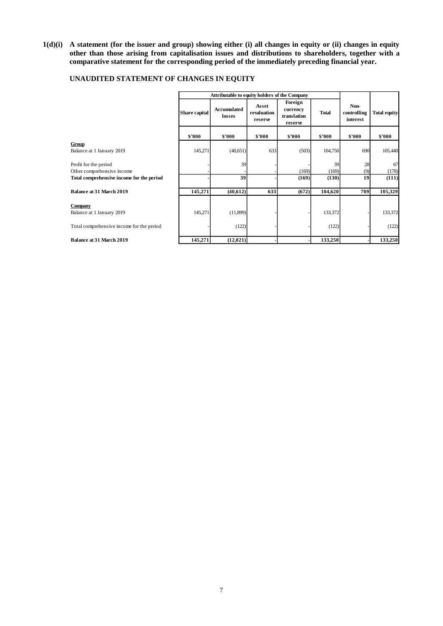**1(d)(i) A statement (for the issuer and group) showing either (i) all changes in equity or (ii) changes in equity other than those arising from capitalisation issues and distributions to shareholders, together with a comparative statement for the corresponding period of the immediately preceding financial year.**

|                                           | Attributable to equity holders of the Company |                       |                                 |                                               |         |                                 |                     |
|-------------------------------------------|-----------------------------------------------|-----------------------|---------------------------------|-----------------------------------------------|---------|---------------------------------|---------------------|
|                                           | Share capital                                 | Accumulated<br>losses | Asset<br>revaluation<br>reserve | Foreign<br>currency<br>translation<br>reserve | Total   | Non-<br>controlling<br>interest | <b>Total equity</b> |
|                                           | \$'000                                        | \$'000                | \$'000                          | \$'000                                        | \$'000  | \$'000                          | \$'000              |
| Group                                     |                                               |                       |                                 |                                               |         |                                 |                     |
| Balance at 1 January 2019                 | 145,271                                       | (40, 651)             | 633                             | (503)                                         | 104,750 | 690                             | 105,440             |
| Profit for the period                     |                                               | 39                    |                                 |                                               | 39      | 28                              | 67                  |
| Other comprehensive income                |                                               |                       |                                 | (169)                                         | (169)   | (9)                             | (178)               |
| Total comprehensive income for the period |                                               | 39                    |                                 | (169)                                         | (130)   | 19                              | (111)               |
| <b>Balance at 31 March 2019</b>           | 145,271                                       | (40,612)              | 633                             | (672)                                         | 104,620 | 709                             | 105,329             |
| <b>Company</b>                            |                                               |                       |                                 |                                               |         |                                 |                     |
| Balance at 1 January 2019                 | 145,271                                       | (11,899)              |                                 |                                               | 133,372 |                                 | 133,372             |
| Total comprehensive income for the period |                                               | (122)                 |                                 |                                               | (122)   |                                 | (122)               |
| <b>Balance at 31 March 2019</b>           | 145,271                                       | (12, 021)             |                                 |                                               | 133,250 |                                 | 133,250             |

## **UNAUDITED STATEMENT OF CHANGES IN EQUITY**

r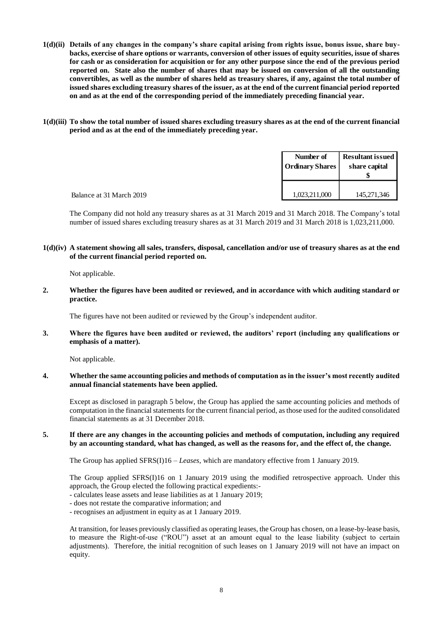- **1(d)(ii) Details of any changes in the company's share capital arising from rights issue, bonus issue, share buybacks, exercise of share options or warrants, conversion of other issues of equity securities, issue of shares for cash or as consideration for acquisition or for any other purpose since the end of the previous period reported on. State also the number of shares that may be issued on conversion of all the outstanding convertibles, as well as the number of shares held as treasury shares, if any, against the total number of issued shares excluding treasury shares of the issuer, as at the end of the current financial period reported on and as at the end of the corresponding period of the immediately preceding financial year.**
- **1(d)(iii) To show the total number of issued shares excluding treasury shares as at the end of the current financial period and as at the end of the immediately preceding year.**

|                          | Number of<br><b>Ordinary Shares</b> | <b>Resultant issued</b><br>share capital |  |
|--------------------------|-------------------------------------|------------------------------------------|--|
| Balance at 31 March 2019 | 1,023,211,000                       | 145,271,346                              |  |

The Company did not hold any treasury shares as at 31 March 2019 and 31 March 2018. The Company's total number of issued shares excluding treasury shares as at 31 March 2019 and 31 March 2018 is 1,023,211,000.

**1(d)(iv) A statement showing all sales, transfers, disposal, cancellation and/or use of treasury shares as at the end of the current financial period reported on.**

Not applicable.

**2. Whether the figures have been audited or reviewed, and in accordance with which auditing standard or practice.**

The figures have not been audited or reviewed by the Group's independent auditor.

**3. Where the figures have been audited or reviewed, the auditors' report (including any qualifications or emphasis of a matter).**

Not applicable.

**4. Whether the same accounting policies and methods of computation as in the issuer's most recently audited annual financial statements have been applied.**

Except as disclosed in paragraph 5 below, the Group has applied the same accounting policies and methods of computation in the financial statements for the current financial period, asthose used for the audited consolidated financial statements as at 31 December 2018.

### **5. If there are any changes in the accounting policies and methods of computation, including any required by an accounting standard, what has changed, as well as the reasons for, and the effect of, the change.**

The Group has applied SFRS(I)16 – *Leases,* which are mandatory effective from 1 January 2019.

The Group applied SFRS(I)16 on 1 January 2019 using the modified retrospective approach. Under this approach, the Group elected the following practical expedients:-

- calculates lease assets and lease liabilities as at 1 January 2019;
- does not restate the comparative information; and
- recognises an adjustment in equity as at 1 January 2019.

At transition, for leases previously classified as operating leases, the Group has chosen, on a lease-by-lease basis, to measure the Right-of-use ("ROU") asset at an amount equal to the lease liability (subject to certain adjustments). Therefore, the initial recognition of such leases on 1 January 2019 will not have an impact on equity.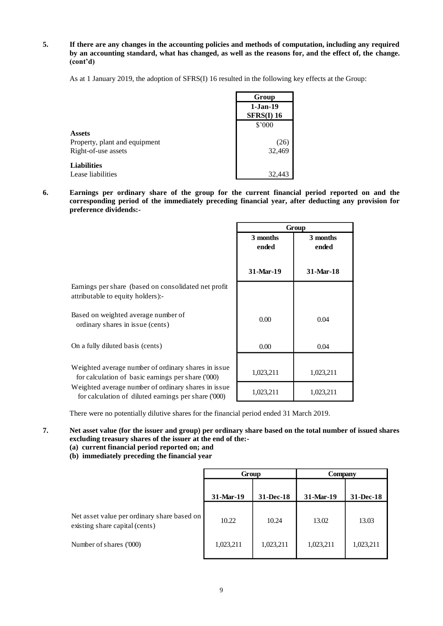**5. If there are any changes in the accounting policies and methods of computation, including any required by an accounting standard, what has changed, as well as the reasons for, and the effect of, the change. (cont'd)**

As at 1 January 2019, the adoption of SFRS(I) 16 resulted in the following key effects at the Group:

|                               | Group                           |
|-------------------------------|---------------------------------|
|                               | $1-Jan-19$<br><b>SFRS(I) 16</b> |
|                               | \$'000                          |
| <b>Assets</b>                 |                                 |
| Property, plant and equipment | (26                             |
| Right-of-use assets           | 32,469                          |
| <b>Liabilities</b>            |                                 |
| Lease liabilities             | 32,443                          |

**6. Earnings per ordinary share of the group for the current financial period reported on and the corresponding period of the immediately preceding financial year, after deducting any provision for preference dividends:-**

|                                                                                                             | Group             |                   |  |
|-------------------------------------------------------------------------------------------------------------|-------------------|-------------------|--|
|                                                                                                             | 3 months<br>ended | 3 months<br>ended |  |
|                                                                                                             | 31-Mar-19         | 31-Mar-18         |  |
| Earnings per share (based on consolidated net profit<br>attributable to equity holders):-                   |                   |                   |  |
| Based on weighted average number of<br>ordinary shares in issue (cents)                                     | 0.00              | 0.04              |  |
| On a fully diluted basis (cents)                                                                            | 0.00              | 0.04              |  |
| Weighted average number of ordinary shares in issue<br>for calculation of basic earnings per share ('000)   | 1,023,211         | 1,023,211         |  |
| Weighted average number of ordinary shares in issue<br>for calculation of diluted earnings per share ('000) | 1,023,211         | 1,023,211         |  |

There were no potentially dilutive shares for the financial period ended 31 March 2019.

- **7. Net asset value (for the issuer and group) per ordinary share based on the total number of issued shares excluding treasury shares of the issuer at the end of the:-**
	- **(a) current financial period reported on; and**
	- **(b) immediately preceding the financial year**

|                                                                               | Group                  |           | Company   |           |  |
|-------------------------------------------------------------------------------|------------------------|-----------|-----------|-----------|--|
|                                                                               | 31-Mar-19<br>31-Dec-18 |           | 31-Mar-19 | 31-Dec-18 |  |
| Net asset value per ordinary share based on<br>existing share capital (cents) | 10.22                  | 10.24     | 13.02     | 13.03     |  |
| Number of shares ('000)                                                       | 1,023,211              | 1,023,211 | 1,023,211 | 1,023,211 |  |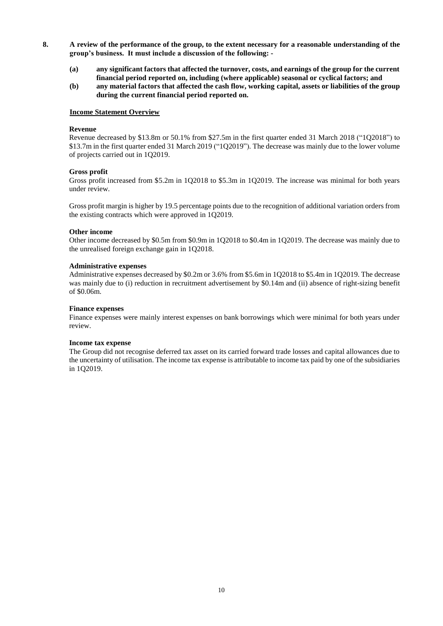- **8. A review of the performance of the group, to the extent necessary for a reasonable understanding of the group's business. It must include a discussion of the following: -**
	- **(a) any significant factors that affected the turnover, costs, and earnings of the group for the current financial period reported on, including (where applicable) seasonal or cyclical factors; and**
	- **(b) any material factors that affected the cash flow, working capital, assets or liabilities of the group during the current financial period reported on.**

#### **Income Statement Overview**

#### **Revenue**

Revenue decreased by \$13.8m or 50.1% from \$27.5m in the first quarter ended 31 March 2018 ("1Q2018") to \$13.7m in the first quarter ended 31 March 2019 ("1Q2019"). The decrease was mainly due to the lower volume of projects carried out in 1Q2019.

#### **Gross profit**

Gross profit increased from \$5.2m in 1Q2018 to \$5.3m in 1Q2019. The increase was minimal for both years under review.

Gross profit margin is higher by 19.5 percentage points due to the recognition of additional variation orders from the existing contracts which were approved in 1Q2019.

#### **Other income**

Other income decreased by \$0.5m from \$0.9m in 1Q2018 to \$0.4m in 1Q2019. The decrease was mainly due to the unrealised foreign exchange gain in 1Q2018.

#### **Administrative expenses**

Administrative expenses decreased by \$0.2m or 3.6% from \$5.6m in 1Q2018 to \$5.4m in 1Q2019. The decrease was mainly due to (i) reduction in recruitment advertisement by \$0.14m and (ii) absence of right-sizing benefit of \$0.06m.

#### **Finance expenses**

Finance expenses were mainly interest expenses on bank borrowings which were minimal for both years under review.

#### **Income tax expense**

The Group did not recognise deferred tax asset on its carried forward trade losses and capital allowances due to the uncertainty of utilisation. The income tax expense is attributable to income tax paid by one of the subsidiaries in 1Q2019.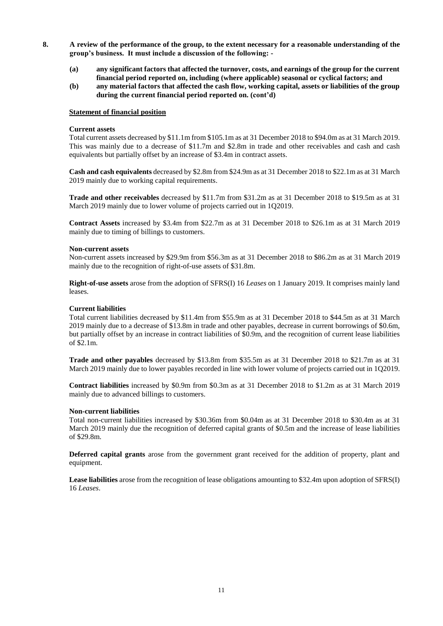- **8. A review of the performance of the group, to the extent necessary for a reasonable understanding of the group's business. It must include a discussion of the following: -**
	- **(a) any significant factors that affected the turnover, costs, and earnings of the group for the current financial period reported on, including (where applicable) seasonal or cyclical factors; and**
	- **(b) any material factors that affected the cash flow, working capital, assets or liabilities of the group during the current financial period reported on. (cont'd)**

#### **Statement of financial position**

#### **Current assets**

Total current assets decreased by \$11.1m from \$105.1m as at 31 December 2018 to \$94.0m as at 31 March 2019. This was mainly due to a decrease of \$11.7m and \$2.8m in trade and other receivables and cash and cash equivalents but partially offset by an increase of \$3.4m in contract assets.

**Cash and cash equivalents** decreased by \$2.8m from \$24.9m as at 31 December 2018 to \$22.1m as at 31 March 2019 mainly due to working capital requirements.

**Trade and other receivables** decreased by \$11.7m from \$31.2m as at 31 December 2018 to \$19.5m as at 31 March 2019 mainly due to lower volume of projects carried out in 1Q2019.

**Contract Assets** increased by \$3.4m from \$22.7m as at 31 December 2018 to \$26.1m as at 31 March 2019 mainly due to timing of billings to customers.

#### **Non-current assets**

Non-current assets increased by \$29.9m from \$56.3m as at 31 December 2018 to \$86.2m as at 31 March 2019 mainly due to the recognition of right-of-use assets of \$31.8m.

**Right-of-use assets** arose from the adoption of SFRS(I) 16 *Leases* on 1 January 2019. It comprises mainly land leases.

## **Current liabilities**

Total current liabilities decreased by \$11.4m from \$55.9m as at 31 December 2018 to \$44.5m as at 31 March 2019 mainly due to a decrease of \$13.8m in trade and other payables, decrease in current borrowings of \$0.6m, but partially offset by an increase in contract liabilities of \$0.9m, and the recognition of current lease liabilities of \$2.1m.

**Trade and other payables** decreased by \$13.8m from \$35.5m as at 31 December 2018 to \$21.7m as at 31 March 2019 mainly due to lower payables recorded in line with lower volume of projects carried out in 1Q2019.

**Contract liabilities** increased by \$0.9m from \$0.3m as at 31 December 2018 to \$1.2m as at 31 March 2019 mainly due to advanced billings to customers.

## **Non-current liabilities**

Total non-current liabilities increased by \$30.36m from \$0.04m as at 31 December 2018 to \$30.4m as at 31 March 2019 mainly due the recognition of deferred capital grants of \$0.5m and the increase of lease liabilities of \$29.8m.

**Deferred capital grants** arose from the government grant received for the addition of property, plant and equipment.

**Lease liabilities** arose from the recognition of lease obligations amounting to \$32.4m upon adoption of SFRS(I) 16 *Leases*.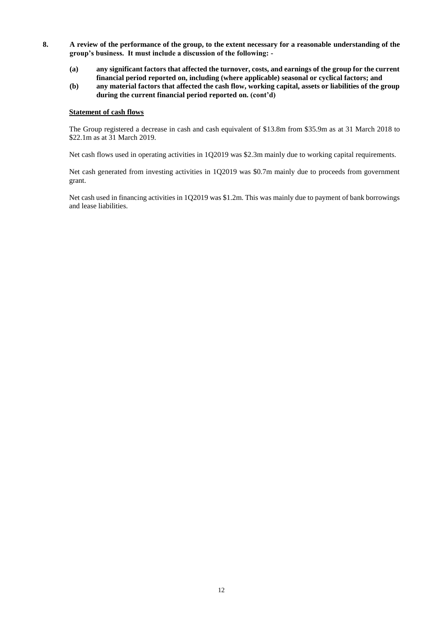- **8. A review of the performance of the group, to the extent necessary for a reasonable understanding of the group's business. It must include a discussion of the following: -**
	- **(a) any significant factors that affected the turnover, costs, and earnings of the group for the current financial period reported on, including (where applicable) seasonal or cyclical factors; and**
	- **(b) any material factors that affected the cash flow, working capital, assets or liabilities of the group during the current financial period reported on. (cont'd)**

#### **Statement of cash flows**

The Group registered a decrease in cash and cash equivalent of \$13.8m from \$35.9m as at 31 March 2018 to \$22.1m as at 31 March 2019.

Net cash flows used in operating activities in 1Q2019 was \$2.3m mainly due to working capital requirements.

Net cash generated from investing activities in 1Q2019 was \$0.7m mainly due to proceeds from government grant.

Net cash used in financing activities in 1Q2019 was \$1.2m. This was mainly due to payment of bank borrowings and lease liabilities.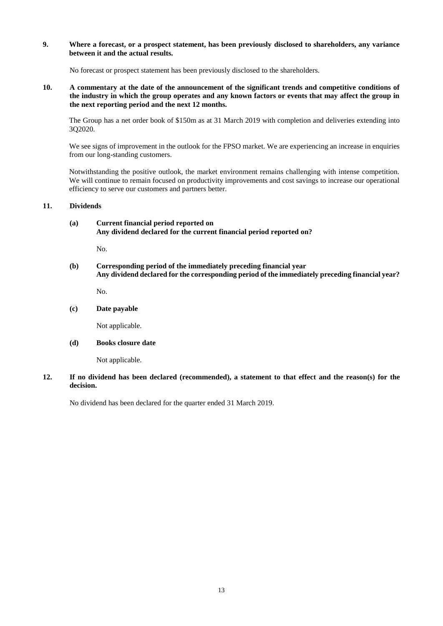### **9. Where a forecast, or a prospect statement, has been previously disclosed to shareholders, any variance between it and the actual results.**

No forecast or prospect statement has been previously disclosed to the shareholders.

**10. A commentary at the date of the announcement of the significant trends and competitive conditions of the industry in which the group operates and any known factors or events that may affect the group in the next reporting period and the next 12 months.**

The Group has a net order book of \$150m as at 31 March 2019 with completion and deliveries extending into 3Q2020.

We see signs of improvement in the outlook for the FPSO market. We are experiencing an increase in enquiries from our long-standing customers.

Notwithstanding the positive outlook, the market environment remains challenging with intense competition. We will continue to remain focused on productivity improvements and cost savings to increase our operational efficiency to serve our customers and partners better.

#### **11. Dividends**

**(a) Current financial period reported on Any dividend declared for the current financial period reported on?**

No.

## **(b) Corresponding period of the immediately preceding financial year Any dividend declared for the corresponding period of the immediately preceding financial year?**

No.

## **(c) Date payable**

Not applicable.

## **(d) Books closure date**

Not applicable.

## **12. If no dividend has been declared (recommended), a statement to that effect and the reason(s) for the decision.**

No dividend has been declared for the quarter ended 31 March 2019.